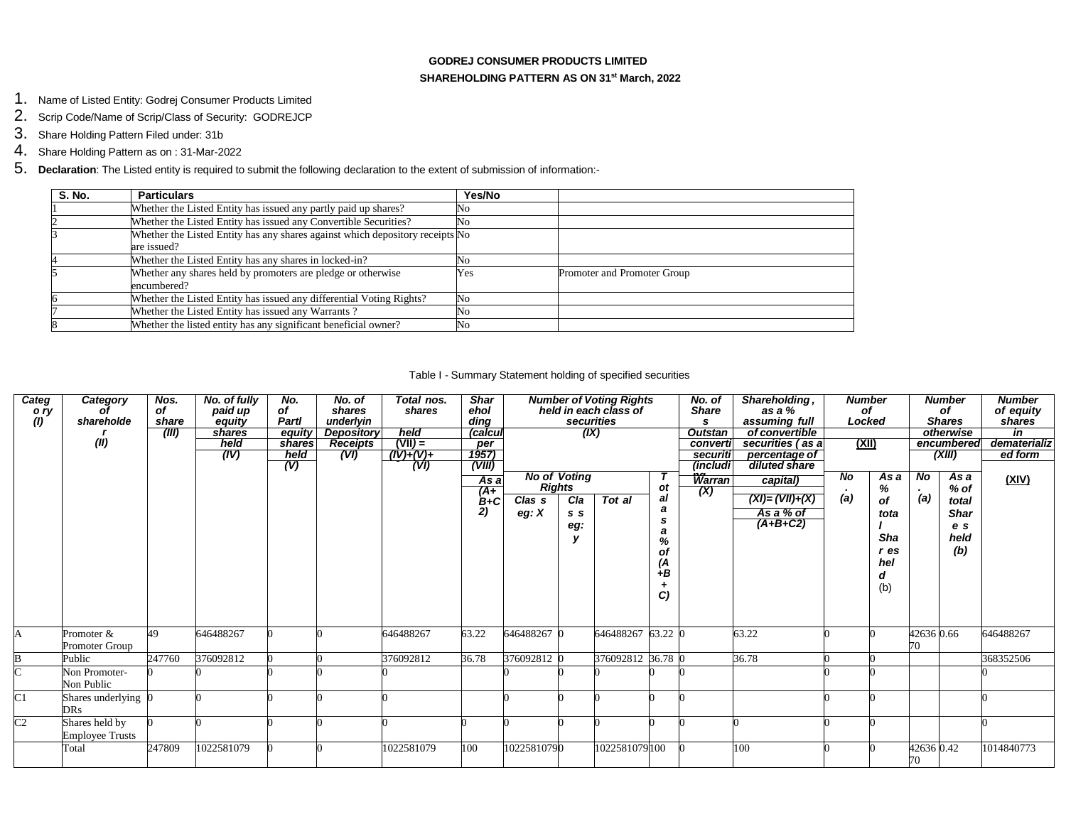### **GODREJ CONSUMER PRODUCTS LIMITED SHAREHOLDING PATTERN AS ON 31st March, 2022**

- 1. Name of Listed Entity: Godrej Consumer Products Limited
- 2. Scrip Code/Name of Scrip/Class of Security: GODREJCP
- 3. Share Holding Pattern Filed under: 31b
- 4. Share Holding Pattern as on : 31-Mar-2022
- 5. **Declaration**: The Listed entity is required to submit the following declaration to the extent of submission of information:-

| S. No. | <b>Particulars</b>                                                            | Yes/No                |                             |
|--------|-------------------------------------------------------------------------------|-----------------------|-----------------------------|
|        | Whether the Listed Entity has issued any partly paid up shares?               | No                    |                             |
|        | Whether the Listed Entity has issued any Convertible Securities?              | No                    |                             |
|        | Whether the Listed Entity has any shares against which depository receipts No |                       |                             |
|        | are issued?                                                                   |                       |                             |
|        | Whether the Listed Entity has any shares in locked-in?                        | No                    |                             |
|        | Whether any shares held by promoters are pledge or otherwise                  | Yes                   | Promoter and Promoter Group |
|        | encumbered?                                                                   |                       |                             |
|        | Whether the Listed Entity has issued any differential Voting Rights?          | No                    |                             |
|        | Whether the Listed Entity has issued any Warrants?                            | No                    |                             |
|        | Whether the listed entity has any significant beneficial owner?               | $\mathbb{N}^{\Omega}$ |                             |

#### Table I - Summary Statement holding of specified securities

| Categ                     | <b>Category</b>        | Nos.   | No. of fully | No.    | No. of            | Total nos.  | <b>Shar</b> |             |                     | <b>Number of Voting Rights</b> |                 | No. of         | Shareholding,      | <b>Number</b>  |      |            | <b>Number</b> | <b>Number</b> |
|---------------------------|------------------------|--------|--------------|--------|-------------------|-------------|-------------|-------------|---------------------|--------------------------------|-----------------|----------------|--------------------|----------------|------|------------|---------------|---------------|
| o ry                      |                        | of     | paid up      | of     | shares            | shares      | ehol        |             |                     | held in each class of          |                 | <b>Share</b>   | as a %             | of             |      |            | of            | of equity     |
| (1)                       | shareholde             | share  | equity       | Partl  | underlyin         |             | ding        |             | securities          |                                |                 | s              | assuming full      | Locked         |      |            | <b>Shares</b> | shares        |
|                           |                        | (III)  | shares       | equity | <b>Depository</b> | held        | (calcul     |             | (IX)                |                                |                 | <b>Outstan</b> | of convertible     |                |      |            | otherwise     | in            |
|                           | (II)                   |        | held         | shares | <b>Receipts</b>   | $(VII) =$   | per         |             |                     |                                |                 | converti       | securities (as a   | <u>(XII)</u>   |      |            | encumbered    | dematerializ  |
|                           |                        |        | (IV)         | held   | (VI)              | $(IV)+(V)+$ | 1957)       |             |                     |                                |                 | securiti       | percentage of      |                |      |            | (XIII)        | ed form       |
|                           |                        |        |              | (V)    |                   | (VI)        | (VIII)      |             |                     |                                |                 | (includi)      | diluted share      |                |      |            |               |               |
|                           |                        |        |              |        |                   |             | As a        |             | <b>No of Voting</b> |                                |                 | Warran         | capital)           | N <sub>o</sub> | As a | No         | As a          | (XIV)         |
|                           |                        |        |              |        |                   |             | $A + B + C$ |             | <b>Rights</b>       |                                | <b>ot</b><br>al | (X)            |                    | (a)            | %    | (a)        | % of          |               |
|                           |                        |        |              |        |                   |             |             | Clas s      | Cla                 | Tot al                         | a               |                | $(XI) = (VII)+(X)$ |                | οf   |            | total         |               |
|                           |                        |        |              |        |                   |             | 2)          | eg: $X$     | S S                 |                                | <b>s</b>        |                | As a % of          |                | tota |            | <b>Shar</b>   |               |
|                           |                        |        |              |        |                   |             |             |             | eg:                 |                                | a               |                | $(A+B+C2)$         |                |      |            | e s           |               |
|                           |                        |        |              |        |                   |             |             |             | v                   |                                | %               |                |                    |                | Sha  |            | held          |               |
|                           |                        |        |              |        |                   |             |             |             |                     |                                | of              |                |                    |                | r es |            | (b)           |               |
|                           |                        |        |              |        |                   |             |             |             |                     |                                | (A              |                |                    |                | hel  |            |               |               |
|                           |                        |        |              |        |                   |             |             |             |                     |                                | $+B$            |                |                    |                |      |            |               |               |
|                           |                        |        |              |        |                   |             |             |             |                     |                                |                 |                |                    |                | (b)  |            |               |               |
|                           |                        |        |              |        |                   |             |             |             |                     |                                | C)              |                |                    |                |      |            |               |               |
|                           |                        |        |              |        |                   |             |             |             |                     |                                |                 |                |                    |                |      |            |               |               |
|                           |                        |        |              |        |                   |             |             |             |                     |                                |                 |                |                    |                |      |            |               |               |
| A                         | Promoter &             | 49     | 646488267    |        |                   | 646488267   | 63.22       | 646488267 0 |                     | 646488267 63.22 0              |                 |                | 63.22              |                |      | 42636 0.66 |               | 646488267     |
|                           | Promoter Group         |        |              |        |                   |             |             |             |                     |                                |                 |                |                    |                |      | 70         |               |               |
|                           | Public                 | 247760 | 376092812    |        |                   | 376092812   | 36.78       | 376092812 0 |                     | 376092812 36.78 0              |                 |                | 36.78              |                |      |            |               | 368352506     |
| $\overline{\overline{C}}$ | Non Promoter-          |        |              |        |                   |             |             |             |                     |                                |                 |                |                    |                |      |            |               |               |
|                           | Non Public             |        |              |        |                   |             |             |             |                     |                                |                 |                |                    |                |      |            |               |               |
| $\overline{C}1$           | Shares underlying 0    |        |              |        |                   |             |             |             |                     |                                |                 |                |                    |                |      |            |               |               |
|                           | <b>DRs</b>             |        |              |        |                   |             |             |             |                     |                                |                 |                |                    |                |      |            |               |               |
| $\overline{C2}$           | Shares held by         |        |              |        |                   |             |             |             |                     |                                |                 |                |                    |                |      |            |               |               |
|                           | <b>Employee Trusts</b> |        |              |        |                   |             |             |             |                     |                                |                 |                |                    |                |      |            |               |               |
|                           | Total                  | 247809 | 1022581079   |        |                   | 022581079   | 100         | 10225810790 |                     | 1022581079100                  |                 |                | 100                |                |      | 42636 0.42 |               | 1014840773    |
|                           |                        |        |              |        |                   |             |             |             |                     |                                |                 |                |                    |                |      | 70         |               |               |
|                           |                        |        |              |        |                   |             |             |             |                     |                                |                 |                |                    |                |      |            |               |               |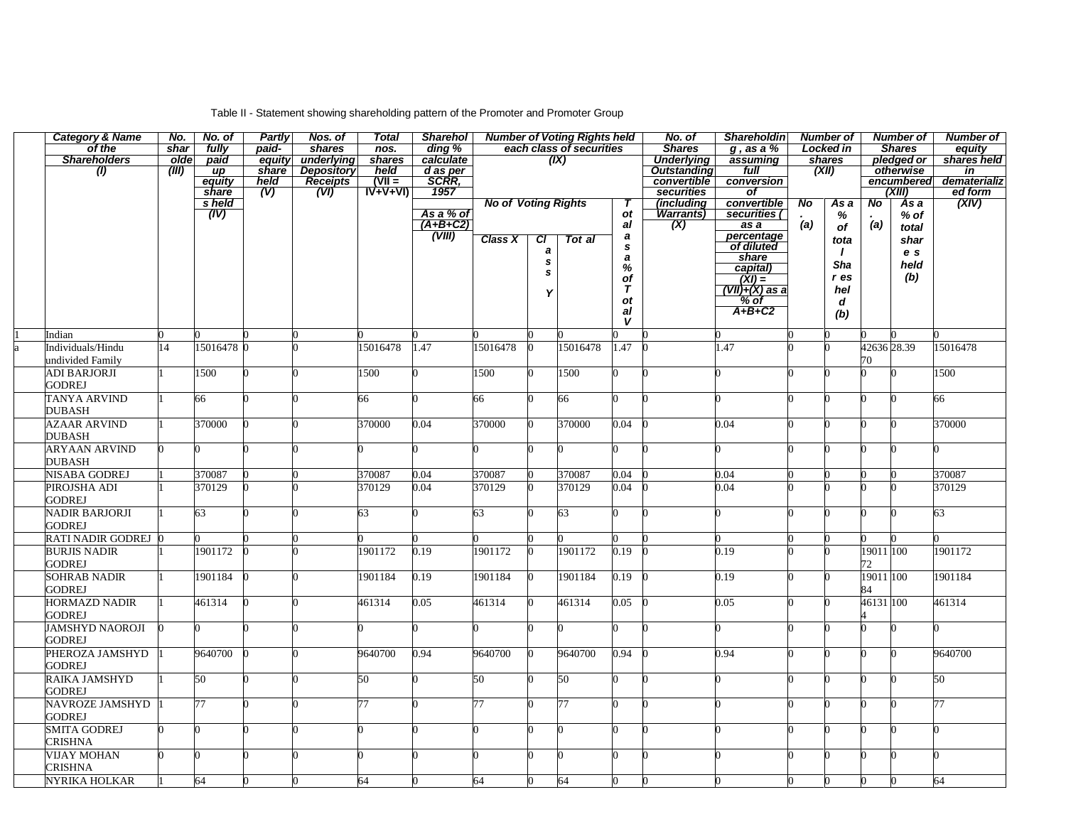# Table II - Statement showing shareholding pattern of the Promoter and Promoter Group

| <b>Category &amp; Name</b> | No.   | No. of                       | <b>Partly</b> | Nos. of           | <b>Total</b>               | <b>Sharehol</b>       |                            |    | <b>Number of Voting Rights held</b> |             | No. of             | <b>Shareholdin</b>                                                         |     | <b>Number of</b> |                | <b>Number of</b> | <b>Number of</b> |
|----------------------------|-------|------------------------------|---------------|-------------------|----------------------------|-----------------------|----------------------------|----|-------------------------------------|-------------|--------------------|----------------------------------------------------------------------------|-----|------------------|----------------|------------------|------------------|
| of the                     | shar  | fully                        | paid-         | shares            | nos.                       | ding %                |                            |    | each class of securities            |             | <b>Shares</b>      | $g$ , as a $%$                                                             |     | <b>Locked in</b> |                | <b>Shares</b>    | equity           |
| <b>Shareholders</b>        | olde  | paid                         | equity        | underlying        | shares                     | calculate             |                            |    | (IX)                                |             | <b>Underlying</b>  | assuming                                                                   |     | shares<br>(XII)  |                | pledged or       | shares held      |
| $\langle I \rangle$        | (III) | $\mu$                        | share         | <b>Depository</b> | held                       | d as per<br>SCRR,     |                            |    |                                     |             | <b>Outstanding</b> | full                                                                       |     |                  |                | otherwise        | in               |
|                            |       | equity                       | held          | Receipts          | $(VII =$                   |                       |                            |    |                                     |             | convertible        | conversion                                                                 |     |                  |                | encumbered       | dematerializ     |
|                            |       | share                        | (V)           | (VI)              | $\overrightarrow{IV+V+VI}$ | 1957                  |                            |    |                                     |             | securities         | $\overline{of}$                                                            |     |                  |                | (XIII)           | ed form          |
|                            |       | s held                       |               |                   |                            |                       | <b>No of Voting Rights</b> |    |                                     |             | (including         | convertible<br>securities (                                                | No  | As a             | N <sub>o</sub> | As a             | (XIV)            |
|                            |       | $\overline{(\overline{IV})}$ |               |                   |                            | As a % of<br>(A+B+C2) |                            |    |                                     | ot          | Warrants)          |                                                                            | (a) | $\%$             | (a)            | $%$ of           |                  |
|                            |       |                              |               |                   |                            | $\frac{1}{(VIII)}$    |                            |    |                                     | a           | (X)                | $\overline{as} a$                                                          |     | of               |                | total            |                  |
|                            |       |                              |               |                   |                            |                       | <b>Class X</b>             | CI | Tot al                              | a<br>s      |                    | percentage<br>of diluted                                                   |     | tota             |                | shar             |                  |
|                            |       |                              |               |                   |                            |                       |                            | a  |                                     | $\pmb{a}$   |                    | share                                                                      |     | $\mathbf{I}$     |                | e s              |                  |
|                            |       |                              |               |                   |                            |                       |                            | s  |                                     | $\%$        |                    | capital)                                                                   |     | <b>Sha</b>       |                | held             |                  |
|                            |       |                              |               |                   |                            |                       |                            | s  |                                     | of          |                    |                                                                            |     | r es             |                | (b)              |                  |
|                            |       |                              |               |                   |                            |                       |                            | Υ  |                                     | $\tau$      |                    | $\frac{\overline{(XI)} =}{\overline{(VII)} + \overline{(X)} \text{ as a}}$ |     | hel              |                |                  |                  |
|                            |       |                              |               |                   |                            |                       |                            |    |                                     | <b>ot</b>   |                    | $%$ of                                                                     |     | d                |                |                  |                  |
|                            |       |                              |               |                   |                            |                       |                            |    |                                     | al          |                    | $A+B+C2$                                                                   |     | (b)              |                |                  |                  |
|                            |       |                              |               |                   |                            |                       |                            |    |                                     | $\mathbf v$ |                    |                                                                            |     |                  |                |                  |                  |
| Indian                     |       |                              |               |                   |                            |                       |                            |    |                                     |             |                    |                                                                            |     |                  |                |                  |                  |
| Individuals/Hindu          | 14    | 15016478 0                   |               |                   | 15016478                   | 1.47                  | 15016478                   |    | 15016478                            | 1.47        |                    | 1.47                                                                       |     |                  | 42636 28.39    |                  | 15016478         |
| undivided Family           |       |                              |               |                   |                            |                       |                            |    |                                     |             |                    |                                                                            |     |                  | 70             |                  |                  |
| ADI BARJORJI               |       | 1500                         |               |                   | 1500                       |                       | 1500                       |    | 1500                                |             |                    |                                                                            |     |                  |                |                  | 1500             |
| <b>GODREJ</b>              |       |                              |               |                   |                            |                       |                            |    |                                     |             |                    |                                                                            |     |                  |                |                  |                  |
| TANYA ARVIND               |       | 66                           |               |                   | 66                         |                       | 66                         |    | 66                                  |             |                    |                                                                            |     |                  | U              |                  | 66               |
| DUBASH                     |       |                              |               |                   |                            |                       |                            |    |                                     |             |                    |                                                                            |     |                  |                |                  |                  |
| <b>AZAAR ARVIND</b>        |       | 370000                       |               |                   | 370000                     | 0.04                  | 370000                     |    | 370000                              | 0.04        |                    | 0.04                                                                       |     |                  |                |                  | 370000           |
| DUBASH                     |       |                              |               |                   |                            |                       |                            |    |                                     |             |                    |                                                                            |     |                  |                |                  |                  |
|                            |       |                              |               |                   |                            |                       |                            |    |                                     |             |                    |                                                                            |     |                  |                |                  |                  |
| <b>ARYAAN ARVIND</b>       |       |                              |               |                   |                            |                       |                            |    |                                     |             |                    |                                                                            |     |                  |                |                  |                  |
| DUBASH                     |       |                              |               |                   |                            |                       |                            |    |                                     |             |                    |                                                                            |     |                  |                |                  |                  |
| NISABA GODREJ              |       | 370087                       |               |                   | 370087                     | 0.04                  | 370087                     |    | 370087                              | 0.04        |                    | 0.04                                                                       |     |                  |                |                  | 370087           |
| PIROJSHA ADI               |       | 370129                       |               |                   | 370129                     | 0.04                  | 370129                     |    | 370129                              | 0.04        |                    | 0.04                                                                       |     |                  |                |                  | 370129           |
| GODREJ                     |       |                              |               |                   |                            |                       |                            |    |                                     |             |                    |                                                                            |     |                  |                |                  |                  |
| NADIR BARJORJI             |       | 63                           |               |                   | 63                         |                       | 63                         |    | 63                                  |             |                    |                                                                            |     |                  |                |                  | 63               |
| <b>GODREJ</b>              |       |                              |               |                   |                            |                       |                            |    |                                     |             |                    |                                                                            |     |                  |                |                  |                  |
| RATI NADIR GODREJ          |       |                              |               |                   |                            |                       |                            |    |                                     |             |                    |                                                                            |     |                  |                |                  |                  |
| <b>BURJIS NADIR</b>        |       | 1901172                      |               |                   | 1901172                    | 0.19                  | 1901172                    |    | 1901172                             | 0.19        |                    | 0.19                                                                       |     |                  | 19011 100      |                  | 1901172          |
| <b>GODREJ</b>              |       |                              |               |                   |                            |                       |                            |    |                                     |             |                    |                                                                            |     |                  | 72             |                  |                  |
| <b>SOHRAB NADIR</b>        |       | 1901184                      |               |                   | 1901184                    | 0.19                  | 1901184                    |    | 1901184                             | 0.19        |                    | 0.19                                                                       |     |                  | 19011 100      |                  | 1901184          |
| <b>GODREJ</b>              |       |                              |               |                   |                            |                       |                            |    |                                     |             |                    |                                                                            |     |                  | 84             |                  |                  |
|                            |       |                              |               |                   |                            |                       |                            |    |                                     |             |                    |                                                                            |     |                  |                |                  |                  |
| <b>HORMAZD NADIR</b>       |       | 461314                       |               |                   | 461314                     | 0.05                  | 461314                     |    | 461314                              | 0.05        |                    | 0.05                                                                       |     |                  | 46131 100      |                  | 461314           |
| GODREJ                     |       |                              |               |                   |                            |                       |                            |    |                                     |             |                    |                                                                            |     |                  |                |                  |                  |
| JAMSHYD NAOROJI            |       |                              |               |                   |                            |                       |                            |    |                                     |             |                    |                                                                            |     |                  |                |                  |                  |
| GODREJ                     |       |                              |               |                   |                            |                       |                            |    |                                     |             |                    |                                                                            |     |                  |                |                  |                  |
| PHEROZA JAMSHYD            |       | 9640700                      |               |                   | 9640700                    | 0.94                  | 9640700                    | 0  | 9640700                             | 0.94        |                    | 0.94                                                                       |     |                  | U              |                  | 9640700          |
| GODREJ                     |       |                              |               |                   |                            |                       |                            |    |                                     |             |                    |                                                                            |     |                  |                |                  |                  |
| RAIKA JAMSHYD              |       | 50                           |               |                   | 50                         |                       | 50 <sup>°</sup>            |    | 50                                  |             |                    |                                                                            |     |                  | 0              |                  | 50               |
| <b>GODREJ</b>              |       |                              |               |                   |                            |                       |                            |    |                                     |             |                    |                                                                            |     |                  |                |                  |                  |
| NAVROZE JAMSHYD            |       | 77                           |               |                   | 77                         |                       | 77                         |    | 77                                  |             |                    |                                                                            |     |                  |                |                  | 77               |
| GODREJ                     |       |                              |               |                   |                            |                       |                            |    |                                     |             |                    |                                                                            |     |                  |                |                  |                  |
| <b>SMITA GODREJ</b>        |       |                              |               |                   |                            |                       |                            |    |                                     |             |                    |                                                                            |     |                  |                |                  |                  |
| CRISHNA                    |       |                              |               |                   |                            |                       |                            |    |                                     |             |                    |                                                                            |     |                  |                |                  |                  |
| <b>VIJAY MOHAN</b>         |       |                              |               |                   |                            |                       |                            |    |                                     |             |                    |                                                                            |     |                  |                |                  |                  |
|                            |       |                              |               |                   |                            |                       |                            |    |                                     |             |                    |                                                                            |     |                  |                |                  |                  |
| CRISHNA                    |       |                              |               |                   |                            |                       |                            |    |                                     |             |                    |                                                                            |     |                  |                |                  |                  |
| NYRIKA HOLKAR              |       | 64                           |               |                   | 64                         |                       | 64                         |    | 64                                  |             |                    |                                                                            |     |                  |                |                  | 64               |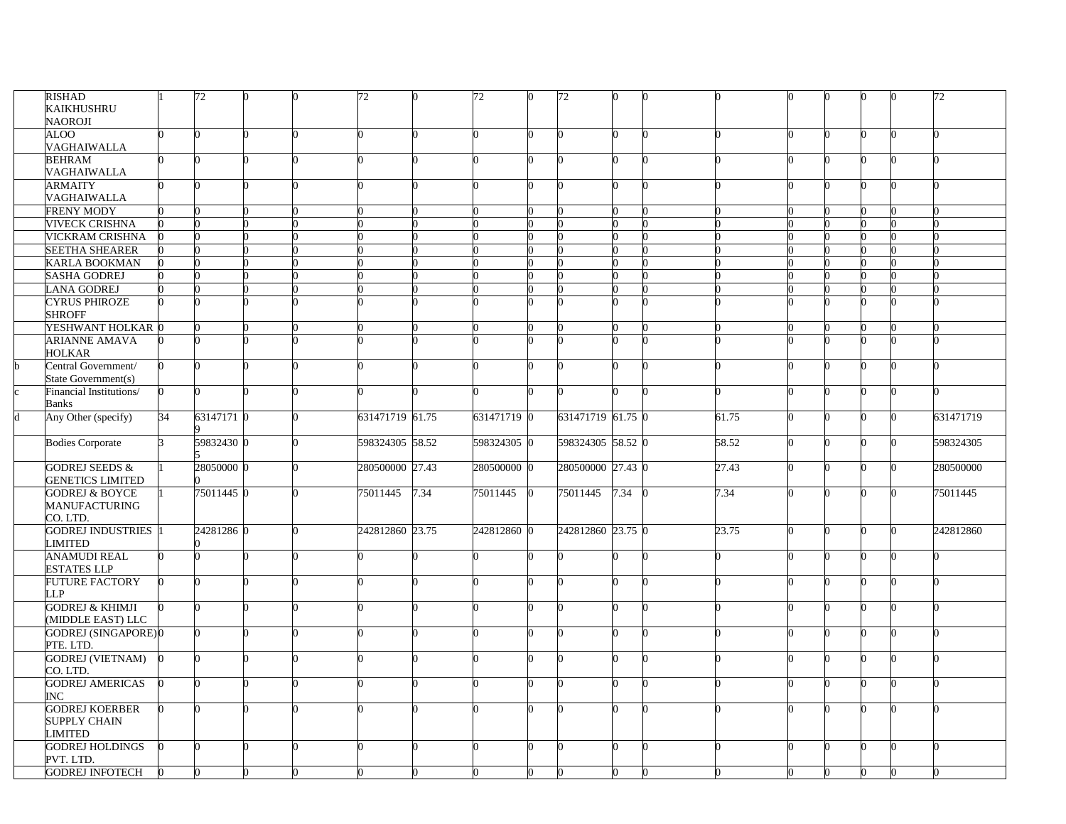| RISHAD                     |                 | 72         |  | 72              |      | 72          |              | 72                |      |       |  |          | 72        |
|----------------------------|-----------------|------------|--|-----------------|------|-------------|--------------|-------------------|------|-------|--|----------|-----------|
| KAIKHUSHRU                 |                 |            |  |                 |      |             |              |                   |      |       |  |          |           |
| NAOROJI                    |                 |            |  |                 |      |             |              |                   |      |       |  |          |           |
| ALOO                       |                 |            |  |                 |      |             |              |                   |      |       |  |          |           |
| VAGHAIWALLA                |                 |            |  |                 |      |             |              |                   |      |       |  |          |           |
| <b>BEHRAM</b>              |                 |            |  |                 |      |             |              |                   |      |       |  |          |           |
| VAGHAIWALLA                |                 |            |  |                 |      |             |              |                   |      |       |  |          |           |
| <b>ARMAITY</b>             |                 |            |  |                 |      |             |              |                   |      |       |  | $\Omega$ |           |
| VAGHAIWALLA                |                 |            |  |                 |      |             |              |                   |      |       |  |          |           |
| <b>FRENY MODY</b>          |                 |            |  |                 |      |             |              |                   |      |       |  |          |           |
| <b>VIVECK CRISHNA</b>      |                 |            |  |                 |      |             |              |                   |      |       |  |          |           |
| VICKRAM CRISHNA            |                 |            |  |                 |      |             |              |                   |      |       |  |          |           |
| <b>SEETHA SHEARER</b>      |                 |            |  |                 |      |             |              |                   |      |       |  |          |           |
| <b>KARLA BOOKMAN</b>       |                 |            |  |                 |      |             |              |                   |      |       |  |          |           |
|                            |                 |            |  |                 |      |             |              |                   |      |       |  |          |           |
| <b>SASHA GODREJ</b>        |                 |            |  |                 |      |             |              |                   |      |       |  |          |           |
| <b>LANA GODREJ</b>         |                 |            |  |                 |      |             |              |                   |      |       |  |          |           |
| <b>CYRUS PHIROZE</b>       |                 |            |  |                 |      |             |              |                   |      |       |  |          |           |
| <b>SHROFF</b>              |                 |            |  |                 |      |             |              |                   |      |       |  |          |           |
| YESHWANT HOLKAR 0          |                 |            |  |                 |      |             |              |                   |      |       |  |          |           |
| <b>ARIANNE AMAVA</b>       |                 |            |  |                 |      |             |              |                   |      |       |  | n        |           |
| HOLKAR                     |                 |            |  |                 |      |             |              |                   |      |       |  |          |           |
| Central Government/        | o               |            |  |                 |      |             |              |                   |      |       |  |          |           |
| State Government(s)        |                 |            |  |                 |      |             |              |                   |      |       |  |          |           |
| Financial Institutions/    | $\Omega$        |            |  |                 |      |             |              |                   |      |       |  | 0        |           |
| <b>Banks</b>               |                 |            |  |                 |      |             |              |                   |      |       |  |          |           |
| Any Other (specify)        | $\overline{34}$ | 63147171 0 |  | 631471719 61.75 |      | 631471719 0 |              | 631471719 61.75 0 |      | 61.75 |  | ∩        | 631471719 |
|                            |                 |            |  |                 |      |             |              |                   |      |       |  |          |           |
| <b>Bodies Corporate</b>    | R               | 59832430 0 |  | 598324305 58.52 |      | 598324305 0 |              | 598324305 58.52 0 |      | 58.52 |  | ∩        | 598324305 |
|                            |                 |            |  |                 |      |             |              |                   |      |       |  |          |           |
| <b>GODREJ SEEDS &amp;</b>  |                 | 28050000 0 |  | 280500000 27.43 |      | 280500000 0 |              | 280500000 27.43 0 |      | 27.43 |  | n        | 280500000 |
| <b>GENETICS LIMITED</b>    |                 |            |  |                 |      |             |              |                   |      |       |  |          |           |
| <b>GODREJ &amp; BOYCE</b>  |                 | 75011445 0 |  | 75011445        | 7.34 | 75011445    | $\mathbf{0}$ | 75011445          | 7.34 | 7.34  |  |          | 75011445  |
| <b>MANUFACTURING</b>       |                 |            |  |                 |      |             |              |                   |      |       |  |          |           |
| CO. LTD.                   |                 |            |  |                 |      |             |              |                   |      |       |  |          |           |
| <b>GODREJ INDUSTRIES</b>   |                 | 24281286 0 |  | 242812860 23.75 |      | 242812860 0 |              | 242812860 23.75 0 |      | 23.75 |  |          | 242812860 |
| LIMITED                    |                 |            |  |                 |      |             |              |                   |      |       |  |          |           |
| <b>ANAMUDI REAL</b>        |                 |            |  |                 |      |             |              |                   |      |       |  |          |           |
| <b>ESTATES LLP</b>         |                 |            |  |                 |      |             |              |                   |      |       |  |          |           |
| <b>FUTURE FACTORY</b>      |                 |            |  |                 |      |             |              |                   |      |       |  |          |           |
| LLP                        |                 |            |  |                 |      |             |              |                   |      |       |  |          |           |
| <b>GODREJ &amp; KHIMJI</b> |                 |            |  |                 |      |             |              |                   |      |       |  |          |           |
|                            |                 |            |  |                 |      |             |              |                   |      |       |  |          |           |
| (MIDDLE EAST) LLC          |                 |            |  |                 |      |             |              |                   |      |       |  |          |           |
| GODREJ (SINGAPORE)0        |                 |            |  |                 |      |             |              |                   |      |       |  |          |           |
| PTE. LTD.                  |                 |            |  |                 |      |             |              |                   |      |       |  |          |           |
| <b>GODREJ (VIETNAM)</b>    |                 |            |  |                 |      |             |              |                   |      |       |  |          |           |
| CO. LTD.                   |                 |            |  |                 |      |             |              |                   |      |       |  |          |           |
| <b>GODREJ AMERICAS</b>     |                 |            |  |                 |      |             |              |                   |      |       |  |          |           |
| INC.                       |                 |            |  |                 |      |             |              |                   |      |       |  |          |           |
| <b>GODREJ KOERBER</b>      |                 |            |  |                 |      |             |              |                   |      |       |  |          |           |
| <b>SUPPLY CHAIN</b>        |                 |            |  |                 |      |             |              |                   |      |       |  |          |           |
| LIMITED                    |                 |            |  |                 |      |             |              |                   |      |       |  |          |           |
| <b>GODREJ HOLDINGS</b>     |                 |            |  | U               |      |             |              |                   |      |       |  |          |           |
| PVT. LTD.                  |                 |            |  |                 |      |             |              |                   |      |       |  |          |           |
| <b>GODREJ INFOTECH</b>     |                 |            |  |                 |      |             |              |                   |      |       |  |          |           |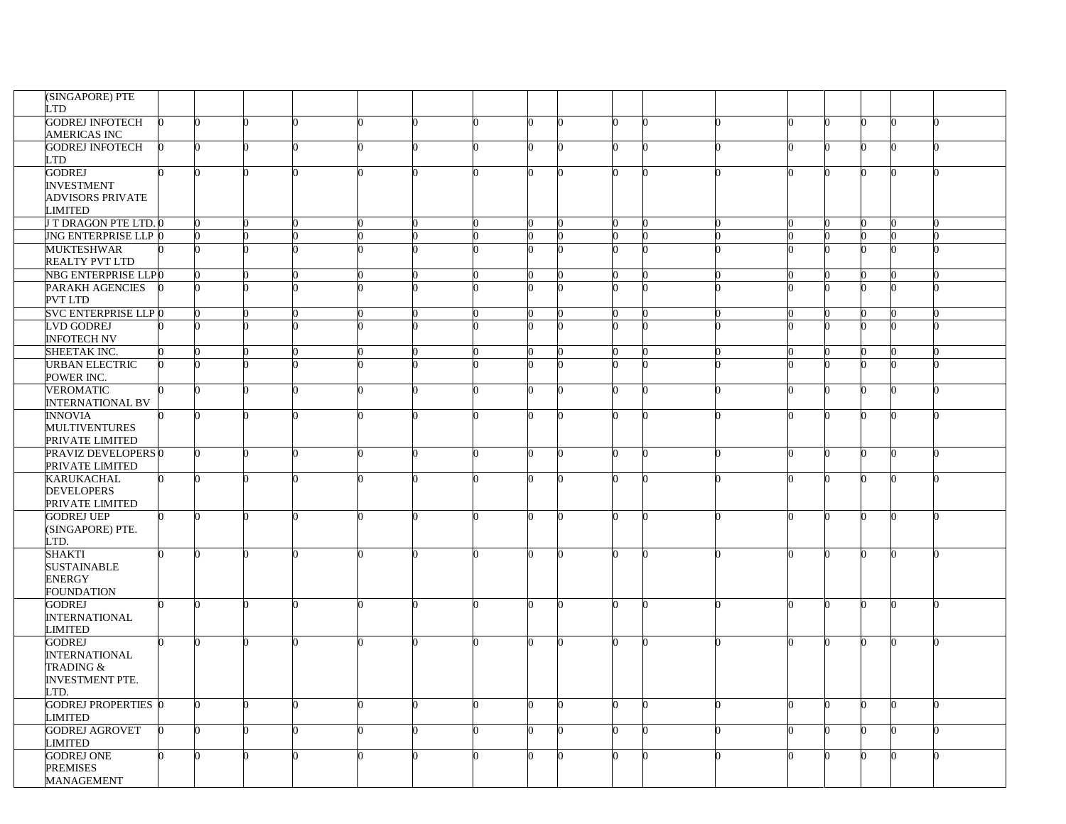| (SINGAPORE) PTE                |  |  |   |  |    |              |  |  |   |          |   |
|--------------------------------|--|--|---|--|----|--------------|--|--|---|----------|---|
| <b>LTD</b>                     |  |  |   |  |    |              |  |  |   |          |   |
|                                |  |  |   |  |    |              |  |  |   |          |   |
| <b>GODREJ INFOTECH</b>         |  |  |   |  |    |              |  |  |   | ∩        |   |
| <b>AMERICAS INC</b>            |  |  |   |  |    |              |  |  |   |          |   |
| <b>GODREJ INFOTECH</b>         |  |  |   |  | n  |              |  |  |   | 0        |   |
| LTD                            |  |  |   |  |    |              |  |  |   |          |   |
| <b>GODREJ</b>                  |  |  |   |  |    |              |  |  |   |          |   |
| <b>INVESTMENT</b>              |  |  |   |  |    |              |  |  |   |          |   |
| <b>ADVISORS PRIVATE</b>        |  |  |   |  |    |              |  |  |   |          |   |
| LIMITED                        |  |  |   |  |    |              |  |  |   |          |   |
| <b>J T DRAGON PTE LTD. 0</b>   |  |  |   |  |    |              |  |  |   |          |   |
| <b>JNG ENTERPRISE LLP 0</b>    |  |  |   |  |    |              |  |  |   |          |   |
| <b>MUKTESHWAR</b>              |  |  |   |  |    |              |  |  |   |          |   |
| <b>REALTY PVT LTD</b>          |  |  |   |  |    |              |  |  |   |          |   |
| NBG ENTERPRISE LLP0            |  |  |   |  |    |              |  |  |   |          |   |
| PARAKH AGENCIES                |  |  |   |  |    |              |  |  |   |          |   |
| PVT LTD                        |  |  |   |  |    |              |  |  |   |          |   |
| <b>SVC ENTERPRISE LLP 0</b>    |  |  |   |  |    |              |  |  |   |          |   |
|                                |  |  |   |  |    |              |  |  |   |          |   |
| <b>LVD GODREJ</b>              |  |  |   |  |    |              |  |  |   | O        |   |
| <b>INFOTECH NV</b>             |  |  |   |  |    |              |  |  |   |          |   |
| SHEETAK INC.                   |  |  |   |  | ∩  |              |  |  |   | O        |   |
| <b>URBAN ELECTRIC</b>          |  |  |   |  |    |              |  |  |   |          |   |
| POWER INC.                     |  |  |   |  |    |              |  |  |   |          |   |
| <b>VEROMATIC</b>               |  |  |   |  | 0  |              |  |  | U | $\Omega$ |   |
| <b>INTERNATIONAL BV</b>        |  |  |   |  |    |              |  |  |   |          |   |
| <b>INNOVIA</b>                 |  |  |   |  |    |              |  |  |   |          |   |
| <b>MULTIVENTURES</b>           |  |  |   |  |    |              |  |  |   |          |   |
| PRIVATE LIMITED                |  |  |   |  |    |              |  |  |   |          |   |
| PRAVIZ DEVELOPERS <sup>0</sup> |  |  | 0 |  | n  | 0            |  |  | ∩ | U        |   |
| PRIVATE LIMITED                |  |  |   |  |    |              |  |  |   |          |   |
| <b>KARUKACHAL</b>              |  |  |   |  |    |              |  |  |   | 0        |   |
| <b>DEVELOPERS</b>              |  |  |   |  |    |              |  |  |   |          |   |
| PRIVATE LIMITED                |  |  |   |  |    |              |  |  |   |          |   |
| <b>GODREJ UEP</b>              |  |  |   |  | O. |              |  |  |   | 0        |   |
|                                |  |  |   |  |    |              |  |  |   |          |   |
| (SINGAPORE) PTE.               |  |  |   |  |    |              |  |  |   |          |   |
| LTD.                           |  |  |   |  |    |              |  |  |   |          |   |
| SHAKTI                         |  |  |   |  | n  |              |  |  |   | 0        |   |
| <b>SUSTAINABLE</b>             |  |  |   |  |    |              |  |  |   |          |   |
| <b>ENERGY</b>                  |  |  |   |  |    |              |  |  |   |          |   |
| <b>FOUNDATION</b>              |  |  |   |  |    |              |  |  |   |          |   |
| <b>GODREJ</b>                  |  |  |   |  | 0  |              |  |  |   | O        |   |
| <b>INTERNATIONAL</b>           |  |  |   |  |    |              |  |  |   |          |   |
| <b>LIMITED</b>                 |  |  |   |  |    |              |  |  |   |          |   |
| <b>GODREJ</b>                  |  |  |   |  |    |              |  |  |   |          |   |
| <b>INTERNATIONAL</b>           |  |  |   |  |    |              |  |  |   |          |   |
| TRADING &                      |  |  |   |  |    |              |  |  |   |          |   |
| <b>INVESTMENT PTE.</b>         |  |  |   |  |    |              |  |  |   |          |   |
| LTD.                           |  |  |   |  |    |              |  |  |   |          |   |
| <b>GODREJ PROPERTIES</b> 0     |  |  | 0 |  | n  | <sup>0</sup> |  |  | 0 | n        | n |
| LIMITED                        |  |  |   |  |    |              |  |  |   |          |   |
| <b>GODREJ AGROVET</b>          |  |  |   |  |    |              |  |  |   | 0        |   |
| LIMITED                        |  |  |   |  |    |              |  |  |   |          |   |
| <b>GODREJ ONE</b>              |  |  |   |  |    |              |  |  |   |          |   |
| <b>PREMISES</b>                |  |  |   |  |    |              |  |  |   |          |   |
|                                |  |  |   |  |    |              |  |  |   |          |   |
| <b>MANAGEMENT</b>              |  |  |   |  |    |              |  |  |   |          |   |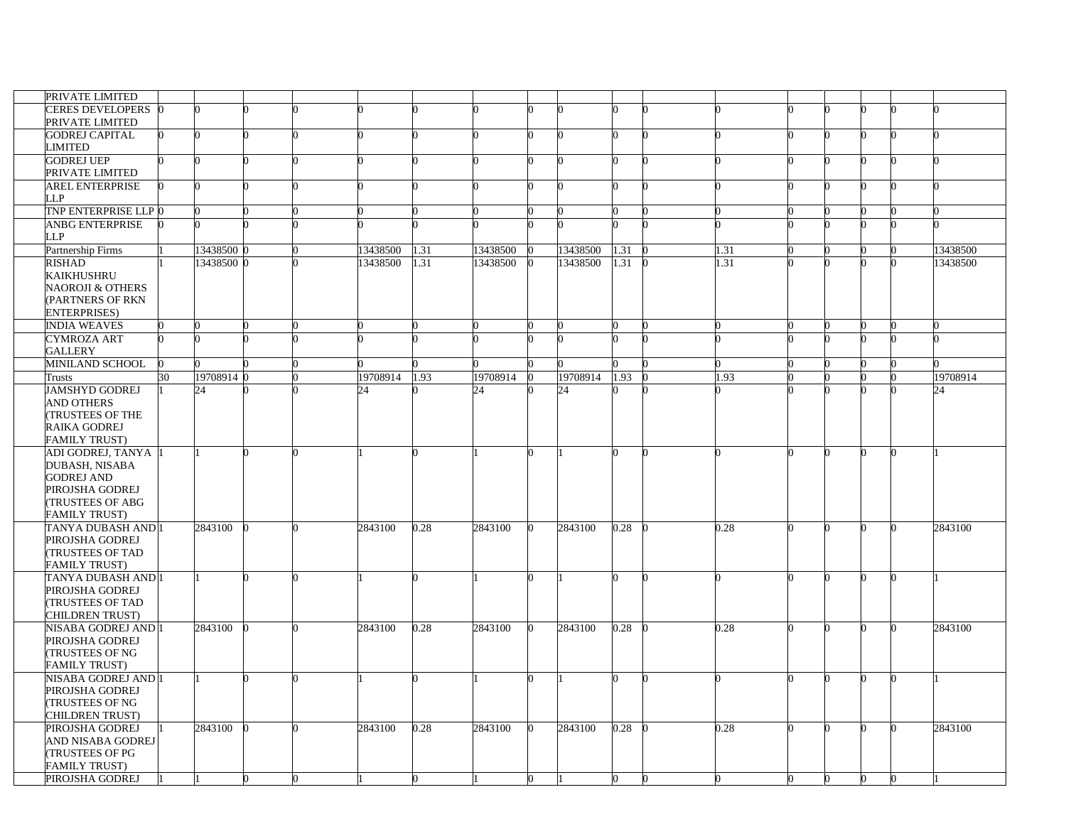| PRIVATE LIMITED             |    |            |  |          |      |          |    |          |      |   |      |   |   |   |   |          |
|-----------------------------|----|------------|--|----------|------|----------|----|----------|------|---|------|---|---|---|---|----------|
| CERES DEVELOPERS 0          |    |            |  |          |      |          |    |          |      |   |      |   |   |   |   |          |
| PRIVATE LIMITED             |    |            |  |          |      |          |    |          |      |   |      |   |   |   |   |          |
| <b>GODREJ CAPITAL</b>       |    |            |  |          |      |          | n  |          |      |   |      |   |   | n |   |          |
| LIMITED                     |    |            |  |          |      |          |    |          |      |   |      |   |   |   |   |          |
| <b>GODREJ UEP</b>           |    |            |  |          |      |          |    |          |      |   |      |   |   |   |   |          |
| PRIVATE LIMITED             |    |            |  |          |      |          |    |          |      |   |      |   |   |   |   |          |
| <b>AREL ENTERPRISE</b>      |    |            |  |          |      |          | O. |          |      |   |      |   |   | 0 |   |          |
| LLP                         |    |            |  |          |      |          |    |          |      |   |      |   |   |   |   |          |
| TNP ENTERPRISE LLP 0        |    |            |  |          |      |          |    |          |      |   |      |   |   |   |   |          |
| <b>ANBG ENTERPRISE</b>      |    |            |  |          |      |          |    |          |      |   |      |   |   |   |   |          |
| LLP                         |    |            |  |          |      |          |    |          |      |   |      |   |   |   |   |          |
|                             |    |            |  |          |      |          |    |          |      |   |      |   |   |   |   |          |
| Partnership Firms           |    | 13438500   |  | 13438500 | 1.31 | 13438500 |    | 13438500 | 1.31 |   | 1.31 |   |   |   |   | 13438500 |
| <b>RISHAD</b>               |    | 13438500 0 |  | 13438500 | 1.31 | 13438500 |    | 13438500 | 1.31 |   | 1.31 |   |   |   |   | 13438500 |
| <b>KAIKHUSHRU</b>           |    |            |  |          |      |          |    |          |      |   |      |   |   |   |   |          |
| <b>NAOROJI &amp; OTHERS</b> |    |            |  |          |      |          |    |          |      |   |      |   |   |   |   |          |
| (PARTNERS OF RKN            |    |            |  |          |      |          |    |          |      |   |      |   |   |   |   |          |
| <b>ENTERPRISES)</b>         |    |            |  |          |      |          |    |          |      |   |      |   |   |   |   |          |
| <b>INDIA WEAVES</b>         |    |            |  |          |      |          |    |          |      |   |      |   |   |   |   |          |
| CYMROZA ART                 |    |            |  |          |      |          |    |          |      |   |      |   |   |   |   |          |
| <b>GALLERY</b>              |    |            |  |          |      |          |    |          |      |   |      |   |   |   |   |          |
| <b>MINILAND SCHOOL</b>      | n  |            |  |          |      |          |    |          |      |   |      |   |   |   |   |          |
|                             |    |            |  |          |      |          |    |          |      |   |      |   |   |   |   |          |
| Trusts                      | 30 | 19708914   |  | 19708914 | .93  | 19708914 |    | 19708914 | 1.93 |   | 1.93 |   |   |   |   | 19708914 |
| <b>JAMSHYD GODREJ</b>       |    | 24         |  | 24       |      | 24       |    | 24       |      |   |      |   |   |   |   | 24       |
| <b>AND OTHERS</b>           |    |            |  |          |      |          |    |          |      |   |      |   |   |   |   |          |
| <b>TRUSTEES OF THE</b>      |    |            |  |          |      |          |    |          |      |   |      |   |   |   |   |          |
| RAIKA GODREJ                |    |            |  |          |      |          |    |          |      |   |      |   |   |   |   |          |
| <b>FAMILY TRUST)</b>        |    |            |  |          |      |          |    |          |      |   |      |   |   |   |   |          |
| ADI GODREJ, TANYA           |    |            |  |          |      |          |    |          |      |   |      |   | ∩ |   | n |          |
| DUBASH, NISABA              |    |            |  |          |      |          |    |          |      |   |      |   |   |   |   |          |
| <b>GODREJ AND</b>           |    |            |  |          |      |          |    |          |      |   |      |   |   |   |   |          |
|                             |    |            |  |          |      |          |    |          |      |   |      |   |   |   |   |          |
| PIROJSHA GODREJ             |    |            |  |          |      |          |    |          |      |   |      |   |   |   |   |          |
| <b>(TRUSTEES OF ABG</b>     |    |            |  |          |      |          |    |          |      |   |      |   |   |   |   |          |
| <b>FAMILY TRUST)</b>        |    |            |  |          |      |          |    |          |      |   |      |   |   |   |   |          |
| TANYA DUBASH AND 1          |    | 2843100    |  | 2843100  | 0.28 | 2843100  |    | 2843100  | 0.28 |   | 0.28 |   | U | n |   | 2843100  |
| PIROJSHA GODREJ             |    |            |  |          |      |          |    |          |      |   |      |   |   |   |   |          |
| <b>(TRUSTEES OF TAD</b>     |    |            |  |          |      |          |    |          |      |   |      |   |   |   |   |          |
| <b>FAMILY TRUST)</b>        |    |            |  |          |      |          |    |          |      |   |      |   |   |   |   |          |
| TANYA DUBASH AND 1          |    |            |  |          |      |          |    |          |      |   |      |   |   |   |   |          |
| PIROJSHA GODREJ             |    |            |  |          |      |          |    |          |      |   |      |   |   |   |   |          |
| <b>TRUSTEES OF TAD</b>      |    |            |  |          |      |          |    |          |      |   |      |   |   |   |   |          |
|                             |    |            |  |          |      |          |    |          |      |   |      |   |   |   |   |          |
| <b>CHILDREN TRUST)</b>      |    |            |  |          |      |          |    |          |      |   |      |   |   |   |   |          |
| NISABA GODREJ AND           |    | 2843100    |  | 2843100  | 0.28 | 2843100  | 0  | 2843100  | 0.28 |   | 0.28 |   |   |   |   | 2843100  |
| PIROJSHA GODREJ             |    |            |  |          |      |          |    |          |      |   |      |   |   |   |   |          |
| <b>(TRUSTEES OF NG</b>      |    |            |  |          |      |          |    |          |      |   |      |   |   |   |   |          |
| <b>FAMILY TRUST)</b>        |    |            |  |          |      |          |    |          |      |   |      |   |   |   |   |          |
| NISABA GODREJ AND I         |    |            |  |          |      |          | O. |          |      |   |      |   |   | 0 |   |          |
| PIROJSHA GODREJ             |    |            |  |          |      |          |    |          |      |   |      |   |   |   |   |          |
| <b>TRUSTEES OF NG</b>       |    |            |  |          |      |          |    |          |      |   |      |   |   |   |   |          |
| CHILDREN TRUST)             |    |            |  |          |      |          |    |          |      |   |      |   |   |   |   |          |
| PIROJSHA GODREJ             |    | 2843100    |  | 2843100  | 0.28 | 2843100  |    | 2843100  | 0.28 |   | 0.28 |   |   |   |   | 2843100  |
|                             |    |            |  |          |      |          |    |          |      |   |      |   |   |   |   |          |
| AND NISABA GODREJ           |    |            |  |          |      |          |    |          |      |   |      |   |   |   |   |          |
| <b>TRUSTEES OF PG</b>       |    |            |  |          |      |          |    |          |      |   |      |   |   |   |   |          |
| <b>FAMILY TRUST)</b>        |    |            |  |          |      |          |    |          |      |   |      |   |   |   |   |          |
| PIROJSHA GODREJ             |    |            |  |          |      |          | 0  |          |      | ∩ | 0    | U | 0 | 0 | n |          |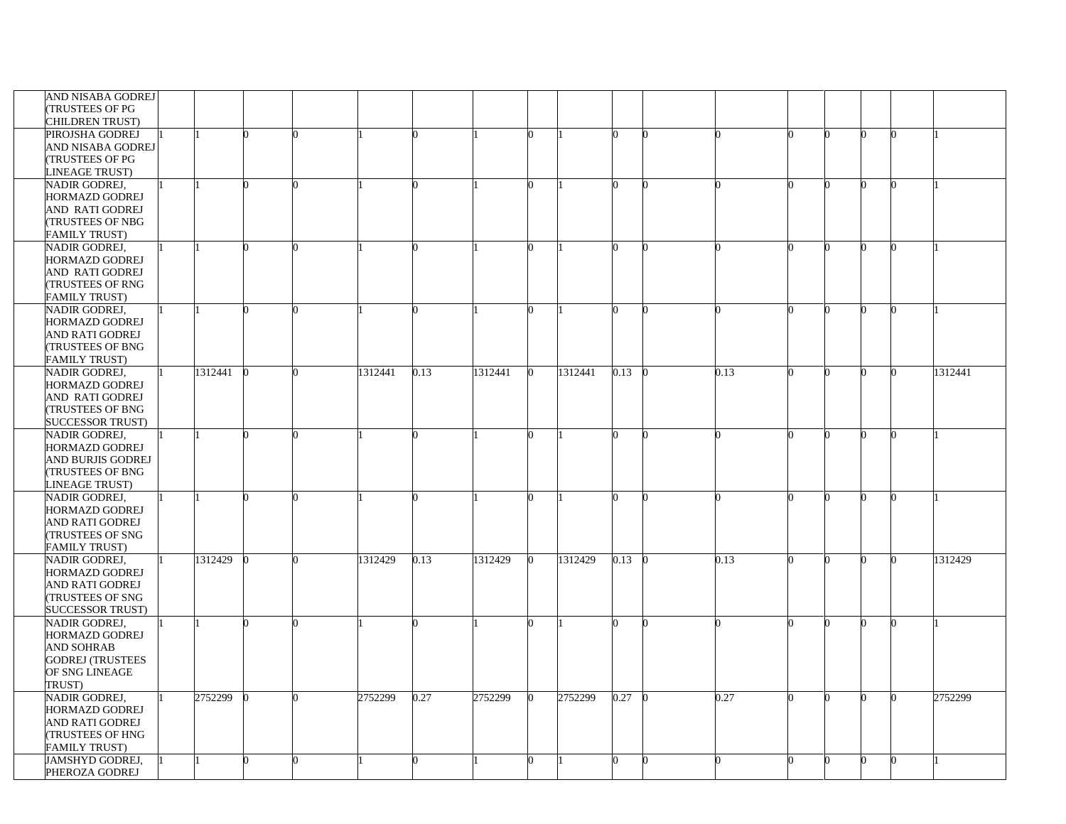| AND NISABA GODREJ                        |         |  |         |      |         |              |         |      |   |      |  |  |         |
|------------------------------------------|---------|--|---------|------|---------|--------------|---------|------|---|------|--|--|---------|
| <b>TRUSTEES OF PG</b><br>CHILDREN TRUST) |         |  |         |      |         |              |         |      |   |      |  |  |         |
| PIROJSHA GODREJ                          |         |  |         |      |         |              |         |      |   |      |  |  |         |
| AND NISABA GODREJ                        |         |  |         |      |         |              |         |      |   |      |  |  |         |
| <b>(TRUSTEES OF PG</b>                   |         |  |         |      |         |              |         |      |   |      |  |  |         |
| LINEAGE TRUST)                           |         |  |         |      |         |              |         |      |   |      |  |  |         |
| NADIR GODREJ,                            |         |  |         |      |         |              |         |      |   |      |  |  |         |
| <b>HORMAZD GODREJ</b>                    |         |  |         |      |         |              |         |      |   |      |  |  |         |
| AND RATI GODREJ                          |         |  |         |      |         |              |         |      |   |      |  |  |         |
| <b>(TRUSTEES OF NBG</b>                  |         |  |         |      |         |              |         |      |   |      |  |  |         |
| <b>FAMILY TRUST)</b>                     |         |  |         |      |         |              |         |      |   |      |  |  |         |
| NADIR GODREJ,                            |         |  |         |      |         |              |         |      |   |      |  |  |         |
| <b>HORMAZD GODREJ</b>                    |         |  |         |      |         |              |         |      |   |      |  |  |         |
| <b>AND RATI GODREJ</b>                   |         |  |         |      |         |              |         |      |   |      |  |  |         |
| <b>(TRUSTEES OF RNG</b>                  |         |  |         |      |         |              |         |      |   |      |  |  |         |
| <b>FAMILY TRUST)</b>                     |         |  |         |      |         |              |         |      |   |      |  |  |         |
| NADIR GODREJ,                            |         |  |         |      |         |              |         |      |   |      |  |  |         |
| <b>HORMAZD GODREJ</b>                    |         |  |         |      |         |              |         |      |   |      |  |  |         |
| <b>AND RATI GODREJ</b>                   |         |  |         |      |         |              |         |      |   |      |  |  |         |
| <b>(TRUSTEES OF BNG</b>                  |         |  |         |      |         |              |         |      |   |      |  |  |         |
| <b>FAMILY TRUST)</b>                     |         |  |         |      |         |              |         |      |   |      |  |  |         |
| NADIR GODREJ,                            | 1312441 |  | 1312441 | 0.13 | 1312441 | O.           | 1312441 | 0.13 |   | 0.13 |  |  | 1312441 |
| <b>HORMAZD GODREJ</b>                    |         |  |         |      |         |              |         |      |   |      |  |  |         |
| AND RATI GODREJ                          |         |  |         |      |         |              |         |      |   |      |  |  |         |
| <b>(TRUSTEES OF BNG</b>                  |         |  |         |      |         |              |         |      |   |      |  |  |         |
| <b>SUCCESSOR TRUST)</b>                  |         |  |         |      |         |              |         |      |   |      |  |  |         |
| NADIR GODREJ,                            |         |  |         |      |         |              |         |      |   |      |  |  |         |
| <b>HORMAZD GODREJ</b>                    |         |  |         |      |         |              |         |      |   |      |  |  |         |
| AND BURJIS GODREJ                        |         |  |         |      |         |              |         |      |   |      |  |  |         |
| <b>(TRUSTEES OF BNG</b>                  |         |  |         |      |         |              |         |      |   |      |  |  |         |
|                                          |         |  |         |      |         |              |         |      |   |      |  |  |         |
| <b>LINEAGE TRUST)</b><br>NADIR GODREJ,   |         |  |         |      |         |              |         |      |   |      |  |  |         |
|                                          |         |  |         |      |         |              |         |      |   |      |  |  |         |
| <b>HORMAZD GODREJ</b>                    |         |  |         |      |         |              |         |      |   |      |  |  |         |
| <b>AND RATI GODREJ</b>                   |         |  |         |      |         |              |         |      |   |      |  |  |         |
| <b>(TRUSTEES OF SNG</b>                  |         |  |         |      |         |              |         |      |   |      |  |  |         |
| <b>FAMILY TRUST)</b>                     |         |  |         |      |         |              |         |      |   |      |  |  |         |
| NADIR GODREJ,                            | 1312429 |  | 1312429 | 0.13 | 1312429 |              | 1312429 | 0.13 |   | 0.13 |  |  | 1312429 |
| <b>HORMAZD GODREJ</b>                    |         |  |         |      |         |              |         |      |   |      |  |  |         |
| <b>AND RATI GODREJ</b>                   |         |  |         |      |         |              |         |      |   |      |  |  |         |
| <b>TRUSTEES OF SNG</b>                   |         |  |         |      |         |              |         |      |   |      |  |  |         |
| <b>SUCCESSOR TRUST)</b>                  |         |  |         |      |         |              |         |      |   |      |  |  |         |
| NADIR GODREJ,                            |         |  |         |      |         |              |         |      |   |      |  |  |         |
| <b>HORMAZD GODREJ</b>                    |         |  |         |      |         |              |         |      |   |      |  |  |         |
| <b>AND SOHRAB</b>                        |         |  |         |      |         |              |         |      |   |      |  |  |         |
| <b>GODREJ (TRUSTEES</b>                  |         |  |         |      |         |              |         |      |   |      |  |  |         |
| OF SNG LINEAGE                           |         |  |         |      |         |              |         |      |   |      |  |  |         |
| TRUST)                                   |         |  |         |      |         |              |         |      |   |      |  |  |         |
| NADIR GODREJ,                            | 2752299 |  | 2752299 | 0.27 | 2752299 | <sub>0</sub> | 2752299 | 0.27 | n | 0.27 |  |  | 2752299 |
| <b>HORMAZD GODREJ</b>                    |         |  |         |      |         |              |         |      |   |      |  |  |         |
| AND RATI GODREJ                          |         |  |         |      |         |              |         |      |   |      |  |  |         |
| <b>TRUSTEES OF HNG</b>                   |         |  |         |      |         |              |         |      |   |      |  |  |         |
| <b>FAMILY TRUST)</b>                     |         |  |         |      |         |              |         |      |   |      |  |  |         |
| JAMSHYD GODREJ,                          |         |  |         |      |         |              |         |      |   |      |  |  |         |
| PHEROZA GODREJ                           |         |  |         |      |         |              |         |      |   |      |  |  |         |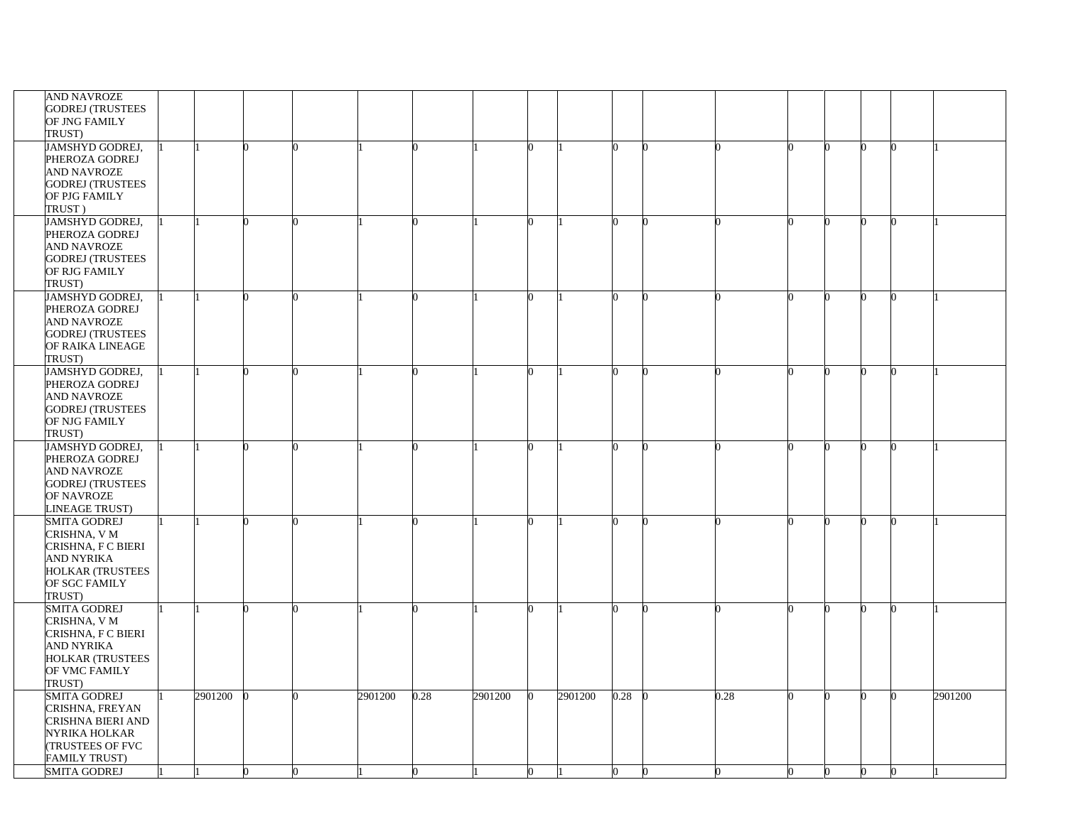| <b>AND NAVROZE</b>      |         |    |   |         |      |         |         |      |   |      |  |   |         |
|-------------------------|---------|----|---|---------|------|---------|---------|------|---|------|--|---|---------|
| <b>GODREJ (TRUSTEES</b> |         |    |   |         |      |         |         |      |   |      |  |   |         |
| OF JNG FAMILY           |         |    |   |         |      |         |         |      |   |      |  |   |         |
| TRUST)                  |         |    |   |         |      |         |         |      |   |      |  |   |         |
|                         |         |    |   |         |      |         |         |      |   |      |  |   |         |
| JAMSHYD GODREJ,         |         |    |   |         |      |         |         |      |   |      |  |   |         |
| PHEROZA GODREJ          |         |    |   |         |      |         |         |      |   |      |  |   |         |
| AND NAVROZE             |         |    |   |         |      |         |         |      |   |      |  |   |         |
| <b>GODREJ (TRUSTEES</b> |         |    |   |         |      |         |         |      |   |      |  |   |         |
| OF PJG FAMILY           |         |    |   |         |      |         |         |      |   |      |  |   |         |
| TRUST)                  |         |    |   |         |      |         |         |      |   |      |  |   |         |
|                         |         |    |   |         |      |         |         |      |   |      |  |   |         |
| JAMSHYD GODREJ,         |         |    |   |         |      |         |         |      |   |      |  | ∩ |         |
| PHEROZA GODREJ          |         |    |   |         |      |         |         |      |   |      |  |   |         |
| AND NAVROZE             |         |    |   |         |      |         |         |      |   |      |  |   |         |
| <b>GODREJ (TRUSTEES</b> |         |    |   |         |      |         |         |      |   |      |  |   |         |
| OF RJG FAMILY           |         |    |   |         |      |         |         |      |   |      |  |   |         |
| TRUST)                  |         |    |   |         |      |         |         |      |   |      |  |   |         |
|                         |         |    |   |         |      |         |         |      |   |      |  |   |         |
| JAMSHYD GODREJ,         |         |    |   |         |      |         |         |      |   |      |  |   |         |
| PHEROZA GODREJ          |         |    |   |         |      |         |         |      |   |      |  |   |         |
| AND NAVROZE             |         |    |   |         |      |         |         |      |   |      |  |   |         |
| <b>GODREJ (TRUSTEES</b> |         |    |   |         |      |         |         |      |   |      |  |   |         |
| OF RAIKA LINEAGE        |         |    |   |         |      |         |         |      |   |      |  |   |         |
| TRUST)                  |         |    |   |         |      |         |         |      |   |      |  |   |         |
| JAMSHYD GODREJ,         |         |    |   |         |      |         |         |      |   |      |  |   |         |
|                         |         |    |   |         |      |         |         |      |   |      |  |   |         |
| PHEROZA GODREJ          |         |    |   |         |      |         |         |      |   |      |  |   |         |
| AND NAVROZE             |         |    |   |         |      |         |         |      |   |      |  |   |         |
| <b>GODREJ (TRUSTEES</b> |         |    |   |         |      |         |         |      |   |      |  |   |         |
| OF NJG FAMILY           |         |    |   |         |      |         |         |      |   |      |  |   |         |
| TRUST)                  |         |    |   |         |      |         |         |      |   |      |  |   |         |
|                         |         |    |   |         |      |         |         |      |   |      |  |   |         |
| JAMSHYD GODREJ,         |         |    |   |         |      |         |         |      |   |      |  |   |         |
| PHEROZA GODREJ          |         |    |   |         |      |         |         |      |   |      |  |   |         |
| <b>AND NAVROZE</b>      |         |    |   |         |      |         |         |      |   |      |  |   |         |
| <b>GODREJ (TRUSTEES</b> |         |    |   |         |      |         |         |      |   |      |  |   |         |
| OF NAVROZE              |         |    |   |         |      |         |         |      |   |      |  |   |         |
| <b>INEAGE TRUST)</b>    |         |    |   |         |      |         |         |      |   |      |  |   |         |
| <b>SMITA GODREJ</b>     |         |    |   |         |      |         |         |      |   |      |  |   |         |
|                         |         |    |   |         |      |         |         |      |   |      |  |   |         |
| CRISHNA, V M            |         |    |   |         |      |         |         |      |   |      |  |   |         |
| CRISHNA, F C BIERI      |         |    |   |         |      |         |         |      |   |      |  |   |         |
| AND NYRIKA              |         |    |   |         |      |         |         |      |   |      |  |   |         |
| <b>HOLKAR (TRUSTEES</b> |         |    |   |         |      |         |         |      |   |      |  |   |         |
| OF SGC FAMILY           |         |    |   |         |      |         |         |      |   |      |  |   |         |
| TRUST)                  |         |    |   |         |      |         |         |      |   |      |  |   |         |
|                         |         |    |   |         |      |         |         |      |   |      |  |   |         |
| <b>SMITA GODREJ</b>     |         |    |   |         |      |         |         |      |   |      |  |   |         |
| CRISHNA, V M            |         |    |   |         |      |         |         |      |   |      |  |   |         |
| CRISHNA, F C BIERI      |         |    |   |         |      |         |         |      |   |      |  |   |         |
| AND NYRIKA              |         |    |   |         |      |         |         |      |   |      |  |   |         |
| <b>HOLKAR (TRUSTEES</b> |         |    |   |         |      |         |         |      |   |      |  |   |         |
| OF VMC FAMILY           |         |    |   |         |      |         |         |      |   |      |  |   |         |
| TRUST)                  |         |    |   |         |      |         |         |      |   |      |  |   |         |
|                         |         |    |   |         |      |         |         |      |   |      |  |   |         |
| SMITA GODREJ            | 2901200 |    |   | 2901200 | 0.28 | 2901200 | 2901200 | 0.28 |   | 0.28 |  |   | 2901200 |
| CRISHNA, FREYAN         |         |    |   |         |      |         |         |      |   |      |  |   |         |
| CRISHNA BIERI AND       |         |    |   |         |      |         |         |      |   |      |  |   |         |
| NYRIKA HOLKAR           |         |    |   |         |      |         |         |      |   |      |  |   |         |
| (TRUSTEES OF FVC        |         |    |   |         |      |         |         |      |   |      |  |   |         |
| FAMILY TRUST)           |         |    |   |         |      |         |         |      |   |      |  |   |         |
| <b>SMITA GODREJ</b>     |         |    |   |         |      |         |         | n    | 0 |      |  |   |         |
|                         |         | O. | 0 |         | 0    |         |         |      |   |      |  |   |         |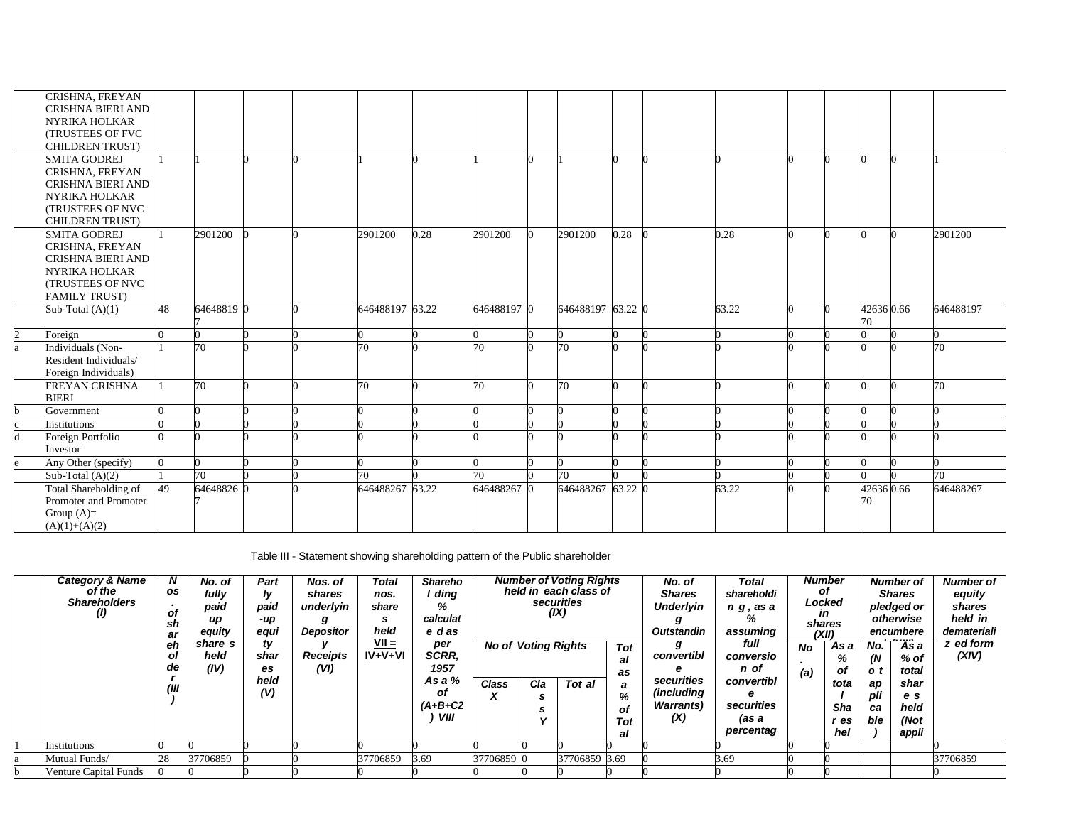|                | CRISHNA, FREYAN<br>CRISHNA BIERI AND<br>NYRIKA HOLKAR<br><b>TRUSTEES OF FVC</b><br><b>CHILDREN TRUST)</b> |    |            |  |                 |      |             |                   |      |       |  |                  |                 |
|----------------|-----------------------------------------------------------------------------------------------------------|----|------------|--|-----------------|------|-------------|-------------------|------|-------|--|------------------|-----------------|
|                | <b>SMITA GODREJ</b><br>CRISHNA, FREYAN                                                                    |    |            |  |                 |      |             |                   |      |       |  |                  |                 |
|                | CRISHNA BIERI AND                                                                                         |    |            |  |                 |      |             |                   |      |       |  |                  |                 |
|                | NYRIKA HOLKAR                                                                                             |    |            |  |                 |      |             |                   |      |       |  |                  |                 |
|                | <b>TRUSTEES OF NVC</b>                                                                                    |    |            |  |                 |      |             |                   |      |       |  |                  |                 |
|                | <b>CHILDREN TRUST)</b><br><b>SMITA GODREJ</b>                                                             |    | 2901200    |  | 2901200         | 0.28 | 2901200     | 2901200           | 0.28 | 0.28  |  |                  | 2901200         |
|                | CRISHNA, FREYAN                                                                                           |    |            |  |                 |      |             |                   |      |       |  |                  |                 |
|                | CRISHNA BIERI AND                                                                                         |    |            |  |                 |      |             |                   |      |       |  |                  |                 |
|                | NYRIKA HOLKAR                                                                                             |    |            |  |                 |      |             |                   |      |       |  |                  |                 |
|                | <b>(TRUSTEES OF NVC</b>                                                                                   |    |            |  |                 |      |             |                   |      |       |  |                  |                 |
|                | <b>FAMILY TRUST)</b>                                                                                      |    |            |  |                 |      |             |                   |      |       |  |                  |                 |
|                | Sub-Total $(A)(1)$                                                                                        | 48 | 64648819 0 |  | 646488197 63.22 |      | 646488197 0 | 646488197 63.22 0 |      | 63.22 |  | 426360.66<br>70. | 646488197       |
| $\mathfrak{D}$ | Foreign                                                                                                   |    |            |  |                 |      |             |                   |      |       |  |                  |                 |
|                | Individuals (Non-                                                                                         |    | 70         |  | 70              |      | 70          | 70                |      |       |  |                  | $\overline{70}$ |
|                | Resident Individuals/                                                                                     |    |            |  |                 |      |             |                   |      |       |  |                  |                 |
|                | Foreign Individuals)                                                                                      |    |            |  |                 |      |             |                   |      |       |  |                  |                 |
|                | FREYAN CRISHNA<br><b>BIERI</b>                                                                            |    | 70         |  | 70              |      | 70          | 70                |      |       |  | ∩                | 70              |
| h              | Government                                                                                                |    |            |  |                 |      |             |                   |      |       |  |                  |                 |
|                | Institutions                                                                                              |    |            |  |                 |      |             |                   |      |       |  |                  |                 |
| d              | Foreign Portfolio                                                                                         |    |            |  |                 |      |             |                   |      |       |  |                  |                 |
|                | Investor                                                                                                  |    |            |  |                 |      |             |                   |      |       |  |                  | 0               |
|                | Any Other (specify)<br>Sub-Total $(A)(2)$                                                                 |    | 70         |  | 70              |      | 70          | 70                |      |       |  |                  | 70              |
|                | Total Shareholding of                                                                                     | 49 | 64648826 0 |  | 646488267 63.22 |      | 646488267   | 646488267 63.22 0 |      | 63.22 |  | 426360.66        | 646488267       |
|                | Promoter and Promoter                                                                                     |    |            |  |                 |      |             |                   |      |       |  | 70               |                 |
|                | Group $(A)=$                                                                                              |    |            |  |                 |      |             |                   |      |       |  |                  |                 |
|                | $(A)(1)+(A)(2)$                                                                                           |    |            |  |                 |      |             |                   |      |       |  |                  |                 |

Table III - Statement showing shareholding pattern of the Public shareholder

| <b>Category &amp; Name</b><br>of the<br><b>Shareholders</b><br>$\left( I\right)$ | N<br>os<br>$\mathbf{r}$<br>of<br>sh<br>ar<br>eh<br>ol<br>de | No. of<br>fully<br>paid<br>up<br>equity<br>share s<br>held<br>(IV) | Part<br>ly<br>paid<br>-up<br>equi<br>ty<br>shar<br>es | Nos. of<br>shares<br>underlyin<br><b>Depositor</b><br><b>Receipts</b><br>(VI) | Total<br>nos.<br>share<br>s<br>held<br>$VII =$<br>$IV + V + VI$ | <b>Shareho</b><br>ding<br>%<br>calculat<br>e das<br>per<br><b>SCRR.</b><br>1957 | <b>No of Voting Rights</b> |     | <b>Number of Voting Rights</b><br>held in each class of<br>securities<br>(IX) | Tot<br>al<br>as           | No. of<br><b>Shares</b><br><b>Underlyin</b><br><b>Outstandin</b><br>convertibl | Total<br>shareholdi<br>n g, as a<br>℅<br>assuming<br>full<br>conversio<br>n of | No<br>(a) | <b>Number</b><br>οf<br>Locked<br>ın<br>shares<br>(XII)<br>As a<br>%<br>оf | No.<br>(N<br>o t       | Number of<br><b>Shares</b><br>pledged or<br>otherwise<br>encumbere<br>As a<br>% of<br>total | <b>Number of</b><br>equity<br>shares<br>held in<br>demateriali<br>z ed form<br>(XIV) |
|----------------------------------------------------------------------------------|-------------------------------------------------------------|--------------------------------------------------------------------|-------------------------------------------------------|-------------------------------------------------------------------------------|-----------------------------------------------------------------|---------------------------------------------------------------------------------|----------------------------|-----|-------------------------------------------------------------------------------|---------------------------|--------------------------------------------------------------------------------|--------------------------------------------------------------------------------|-----------|---------------------------------------------------------------------------|------------------------|---------------------------------------------------------------------------------------------|--------------------------------------------------------------------------------------|
|                                                                                  | (III)                                                       |                                                                    | held<br>(V)                                           |                                                                               |                                                                 | As a %<br>οf<br>$(A+B+C2$<br>VIII                                               | <b>Class</b><br>x          | Cla | Tot al                                                                        | a<br>%<br>of<br>Tot<br>al | securities<br><i>(including</i><br><b>Warrants</b> )<br>(X)                    | convertibl<br>е<br>securities<br>(as a<br>percentag                            |           | tota<br>Sha<br>″ es<br>hel                                                | ap<br>pli<br>ca<br>ble | shar<br>e s<br>held<br>(Not<br>appli                                                        |                                                                                      |
| Institutions                                                                     |                                                             |                                                                    |                                                       |                                                                               |                                                                 |                                                                                 |                            |     |                                                                               |                           |                                                                                |                                                                                |           |                                                                           |                        |                                                                                             |                                                                                      |
| Mutual Funds/                                                                    | 28                                                          | 37706859                                                           |                                                       |                                                                               | 37706859                                                        | 3.69                                                                            | 37706859 0                 |     | 37706859 3.69                                                                 |                           |                                                                                | 3.69                                                                           |           |                                                                           |                        |                                                                                             | 37706859                                                                             |
| <b>Venture Capital Funds</b>                                                     |                                                             |                                                                    |                                                       |                                                                               |                                                                 |                                                                                 |                            |     |                                                                               |                           |                                                                                |                                                                                |           |                                                                           |                        |                                                                                             |                                                                                      |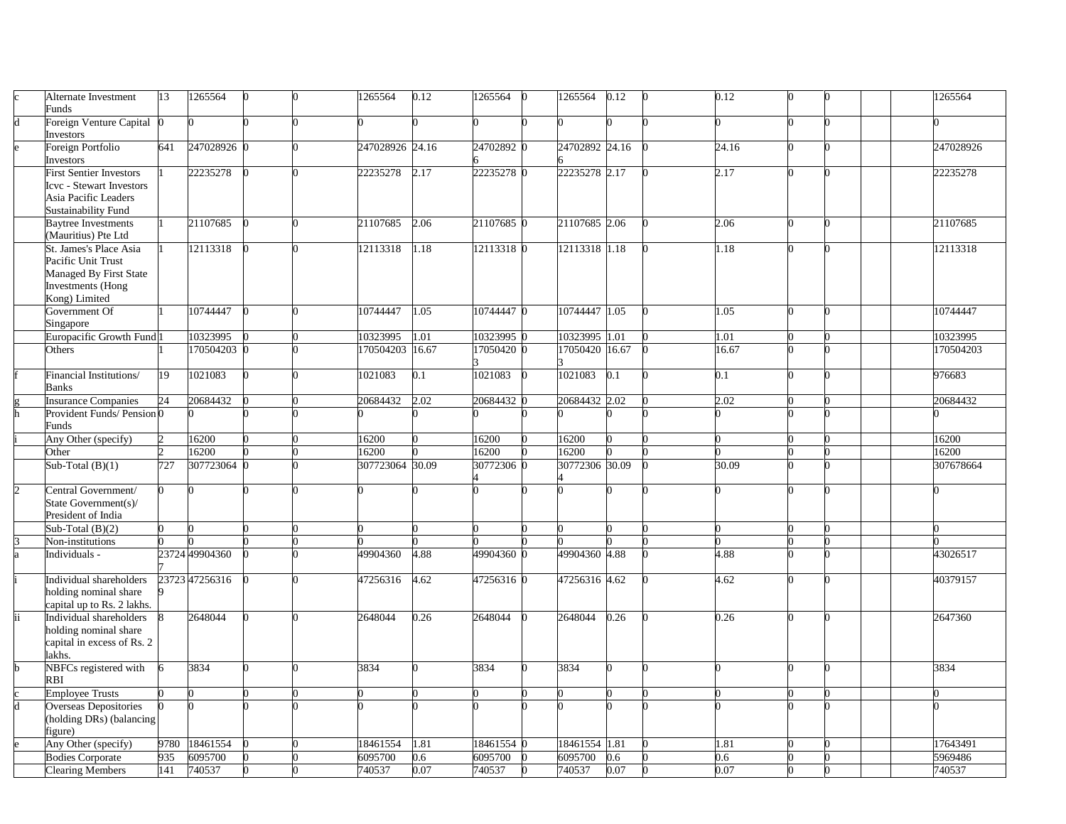| Alternate Investment                 | 13   | 1265564        |  | 1265564         | 0.12  | 1265564    | 1265564        | 0.12              | 0.12  |  | 1265564   |
|--------------------------------------|------|----------------|--|-----------------|-------|------------|----------------|-------------------|-------|--|-----------|
| Funds                                |      |                |  |                 |       |            |                |                   |       |  |           |
| Foreign Venture Capital<br>nvestors  |      |                |  |                 |       |            |                |                   |       |  |           |
| Foreign Portfolio                    | 641  | 247028926 0    |  | 247028926 24.16 |       | 24702892   | 24702892 24.16 |                   | 24.16 |  | 247028926 |
| Investors                            |      |                |  |                 |       |            |                |                   |       |  |           |
| First Sentier Investors              |      | 22235278       |  | 22235278        | 2.17  | 22235278 0 | 22235278 2.17  |                   | 2.17  |  | 22235278  |
| <b>Icvc</b> - Stewart Investors      |      |                |  |                 |       |            |                |                   |       |  |           |
| Asia Pacific Leaders                 |      |                |  |                 |       |            |                |                   |       |  |           |
| Sustainability Fund                  |      |                |  |                 |       |            |                |                   |       |  |           |
| <b>Baytree Investments</b>           |      | 21107685       |  | 21107685        | 2.06  | 21107685   | 21107685 2.06  |                   | 2.06  |  | 21107685  |
| (Mauritius) Pte Ltd                  |      |                |  |                 |       |            |                |                   |       |  |           |
| St. James's Place Asia               |      | 12113318       |  | 12113318        | 1.18  | 12113318 0 | 12113318 1.18  |                   | 1.18  |  | 12113318  |
| Pacific Unit Trust                   |      |                |  |                 |       |            |                |                   |       |  |           |
| Managed By First State               |      |                |  |                 |       |            |                |                   |       |  |           |
| <b>Investments</b> (Hong             |      |                |  |                 |       |            |                |                   |       |  |           |
| Kong) Limited                        |      |                |  |                 |       |            |                |                   |       |  |           |
| Government Of                        |      | 10744447       |  | 10744447        | 1.05  | 10744447   | 10744447 1.05  |                   | 1.05  |  | 10744447  |
| Singapore                            |      |                |  |                 |       |            |                |                   |       |  |           |
| Europacific Growth Fund <sup>1</sup> |      |                |  |                 |       |            |                | $\overline{1.01}$ | 1.01  |  | 10323995  |
|                                      |      | 10323995       |  | 10323995        | 1.01  | 10323995   | 10323995       |                   |       |  |           |
| Others                               |      | 170504203      |  | 170504203       | 16.67 | 17050420   | 17050420       | 16.67             | 16.67 |  | 170504203 |
|                                      |      |                |  |                 |       |            |                |                   |       |  |           |
| Financial Institutions/              | 19   | 1021083        |  | 1021083         | 0.1   | 1021083    | 1021083        | 0.1               | 0.1   |  | 976683    |
| <b>Banks</b>                         |      |                |  |                 |       |            |                |                   |       |  |           |
| Insurance Companies                  | 24   | 20684432       |  | 20684432        | 2.02  | 20684432   | 20684432 2.02  |                   | 2.02  |  | 20684432  |
| Provident Funds/Pension <sub>0</sub> |      |                |  |                 |       |            |                |                   |       |  |           |
| Funds                                |      |                |  |                 |       |            |                |                   |       |  |           |
| Any Other (specify)                  |      | 16200          |  | 16200           |       | 16200      | 16200          |                   |       |  | 16200     |
| Other                                |      | 16200          |  | 16200           |       | 16200      | 16200          |                   |       |  | 16200     |
| Sub-Total $(B)(1)$                   | 727  | 307723064 0    |  | 307723064 30.09 |       | 30772306   | 30772306 30.09 |                   | 30.09 |  | 307678664 |
|                                      |      |                |  |                 |       |            |                |                   |       |  |           |
| Central Government/                  |      |                |  |                 |       |            |                |                   |       |  |           |
| State Government(s)/                 |      |                |  |                 |       |            |                |                   |       |  |           |
| President of India                   |      |                |  |                 |       |            |                |                   |       |  |           |
| Sub-Total $(B)(2)$                   |      |                |  |                 |       |            |                |                   |       |  |           |
| Non-institutions                     |      |                |  |                 |       |            |                |                   |       |  |           |
| Individuals -                        |      | 23724 49904360 |  | 49904360        | 4.88  | 49904360   | 49904360 4.88  |                   | 4.88  |  | 43026517  |
|                                      |      |                |  |                 |       |            |                |                   |       |  |           |
| Individual shareholders              |      | 23723 47256316 |  | 47256316        | 4.62  | 47256316 0 | 47256316 4.62  |                   | 4.62  |  | 40379157  |
| holding nominal share                |      |                |  |                 |       |            |                |                   |       |  |           |
| capital up to Rs. 2 lakhs.           |      |                |  |                 |       |            |                |                   |       |  |           |
| Individual shareholders              |      | 2648044        |  | 2648044         | 0.26  | 2648044    | 2648044        | 0.26              | 0.26  |  | 2647360   |
| holding nominal share                |      |                |  |                 |       |            |                |                   |       |  |           |
| capital in excess of Rs. 2           |      |                |  |                 |       |            |                |                   |       |  |           |
| akhs.                                |      |                |  |                 |       |            |                |                   |       |  |           |
| NBFCs registered with                |      | 3834           |  | 3834            |       | 3834       | 3834           |                   |       |  | 3834      |
| RBI                                  |      |                |  |                 |       |            |                |                   |       |  |           |
| <b>Employee Trusts</b>               |      |                |  |                 |       |            |                |                   |       |  |           |
| <b>Overseas Depositories</b>         |      |                |  |                 |       |            |                |                   |       |  |           |
| (holding DRs) (balancing             |      |                |  |                 |       |            |                |                   |       |  |           |
| igure)                               |      |                |  |                 |       |            |                |                   |       |  |           |
| Any Other (specify)                  | 9780 | 18461554       |  | 18461554        | 1.81  | 18461554 0 | 18461554 1.81  |                   | 1.81  |  | 17643491  |
| <b>Bodies Corporate</b>              | 935  | 6095700        |  | 6095700         | 0.6   | 6095700    | 6095700        | 0.6               | 0.6   |  | 5969486   |
|                                      |      | 740537         |  |                 | 0.07  |            |                |                   | 0.07  |  |           |
| <b>Clearing Members</b>              | 141  |                |  | 740537          |       | 740537     | 740537         | 0.07              |       |  | 740537    |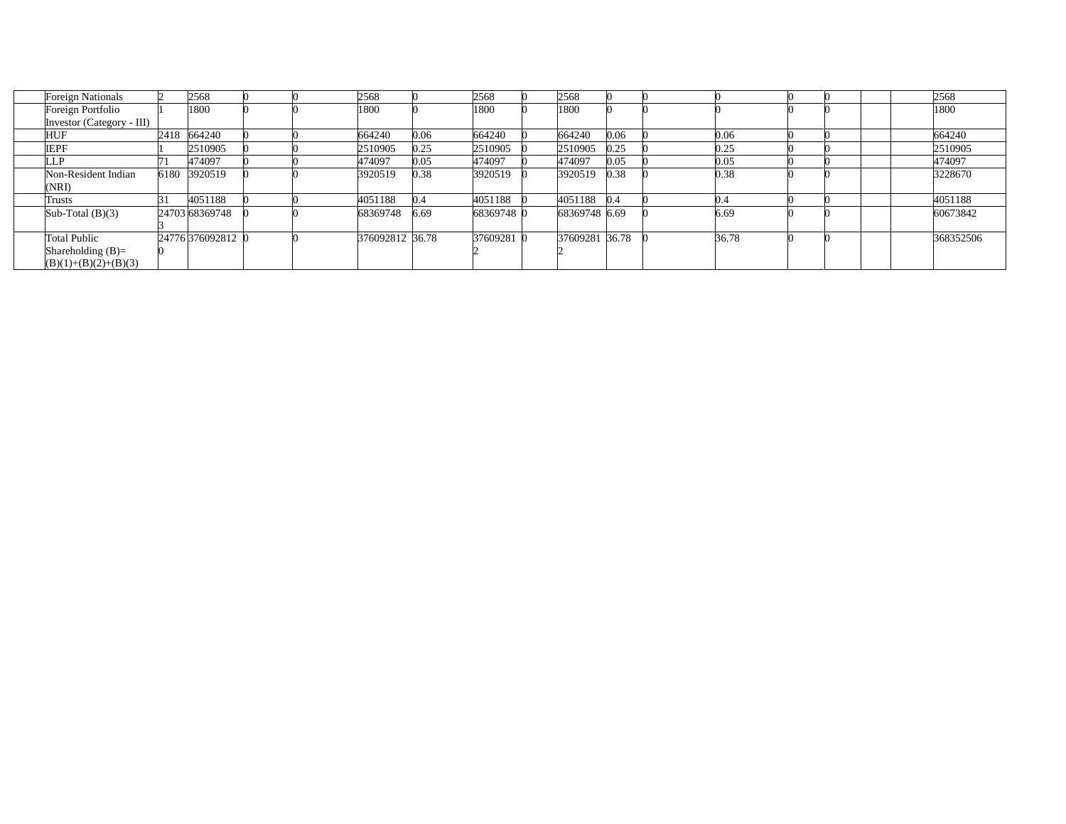| <b>Foreign Nationals</b>  | 2568              |  | 2568            |      | 2568       | 2568           |      |       |  |  | 2568      |
|---------------------------|-------------------|--|-----------------|------|------------|----------------|------|-------|--|--|-----------|
| Foreign Portfolio         | 1800              |  | 1800            |      | 1800       | 1800           |      |       |  |  | 1800      |
| Investor (Category - III) |                   |  |                 |      |            |                |      |       |  |  |           |
| HUF                       | 2418 664240       |  | 664240          | 0.06 | 664240     | 664240         | 0.06 | 0.06  |  |  | 664240    |
| <b>IEPF</b>               | 2510905           |  | 2510905         | 0.25 | 2510905    | 2510905        | 0.25 | 0.25  |  |  | 2510905   |
| LP                        | 474097            |  | 474097          | 0.05 | 474097     | 474097         | 0.05 | 0.05  |  |  | 474097    |
| Non-Resident Indian       | 6180 3920519      |  | 3920519         | 0.38 | 3920519    | 3920519        | 0.38 | 0.38  |  |  | 3228670   |
| (NRI)                     |                   |  |                 |      |            |                |      |       |  |  |           |
| Trusts                    | 4051188           |  | 4051188         | 0.4  | 4051188    | 4051188        | 0.4  | 0.4   |  |  | 4051188   |
| Sub-Total $(B)(3)$        | 24703 68369748    |  | 68369748        | 6.69 | 68369748 0 | 68369748 6.69  |      | 6.69  |  |  | 60673842  |
|                           |                   |  |                 |      |            |                |      |       |  |  |           |
| <b>Total Public</b>       | 24776 376092812 0 |  | 376092812 36.78 |      | 37609281 0 | 37609281 36.78 |      | 36.78 |  |  | 368352506 |
| Shareholding $(B)=$       |                   |  |                 |      |            |                |      |       |  |  |           |
| $(B)(1)+(B)(2)+(B)(3)$    |                   |  |                 |      |            |                |      |       |  |  |           |